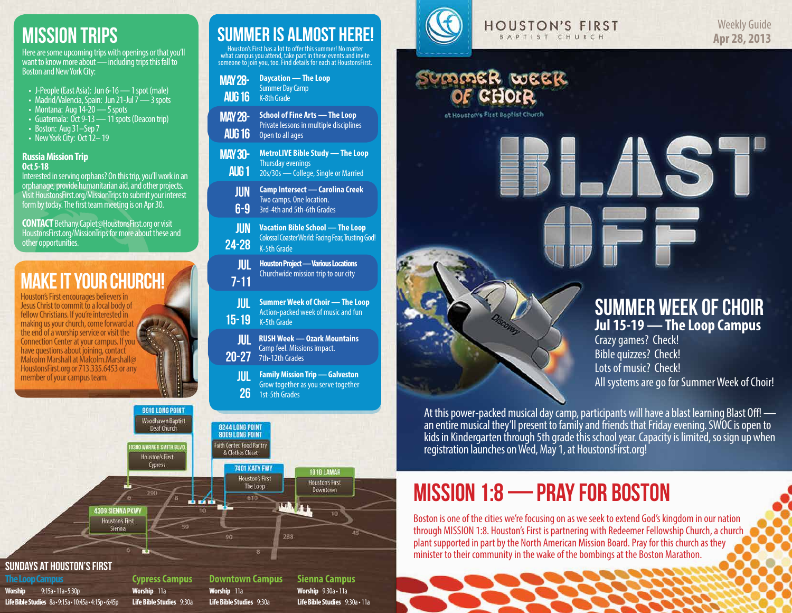## Mission Trips

Here are some upcoming trips with openings or that you'll want to know more about — including trips this fall to Boston and New York City:

- J-People (East Asia): Jun 6-16 1 spot (male)
- Madrid/Valencia, Spain: Jun 21-Jul 7 3 spots
- Montana: Aug  $14-20$  5 spots
- Guatemala: Oct 9-13 11 spots (Deacon trip)
- Boston: Aug 31–Sep 7
- New York City: Oct 12-19

#### **Russia Mission Trip Oct 5-18**

Interested in serving orphans? On this trip, you'll work in an orphanage, provide humanitarian aid, and other projects. Visit HoustonsFirst.org/MissionTrips to submit your interest form by today. The first team meeting is on Apr 30.

**CONTACT** Bethany.Caplet@HoustonsFirst.org or visit HoustonsFirst.org/MissionTrips for more about these and other opportunities.

## MAKE IT YOUR CHURCH!

Houston's First encourages believers in Jesus Christ to commit to a local body of fellow Christians. If you're interested in making us your church, come forward at the end of a worship service or visit the Connection Center at your campus. If you have questions about joining, contact Malcolm Marshall at Malcolm.Marshall@ HoustonsFirst.org or 713.335.6453 or any member of your campus team.

| <b>MAY 28-</b><br><b>AUG 16</b> | <b>Daycation — The Loop</b><br><b>Summer Day Camp</b><br><b>K-8th Grade</b>                                  |
|---------------------------------|--------------------------------------------------------------------------------------------------------------|
| <b>MAY 28-</b><br><b>AUG 16</b> | <b>School of Fine Arts - The Loop</b><br>Private lessons in multiple disciplines<br>Open to all ages         |
| <b>MAY 30-</b><br><b>AUG1</b>   | <b>MetroLIVE Bible Study - The Loop</b><br><b>Thursday evenings</b><br>20s/30s - College, Single or Married  |
| <b>JUN</b><br>$6-9$             | Camp Intersect — Carolina Creek<br>Two camps. One location.<br>3rd-4th and 5th-6th Grades                    |
| <b>JUN</b><br>$24 - 28$         | <b>Vacation Bible School - The Loop</b><br>Colossal Coaster World: Facing Fear, Trusting God!<br>K-5th Grade |
| <b>JUL</b><br>$7 - 11$          | <b>Houston Project - Various Locations</b><br>Churchwide mission trip to our city                            |
| <b>JUL</b><br>$15 - 19$         | <b>Summer Week of Choir — The Loop</b><br>Action-packed week of music and fun<br>K-5th Grade                 |
| <b>JUL</b><br>$20 - 27$         | <b>RUSH Week — Ozark Mountains</b><br>Camp feel. Missions impact.<br>7th-12th Grades                         |
| <b>JUL</b><br>26                | <b>Family Mission Trip - Galveston</b><br>Grow together as you serve together<br>1st-5th Grades              |
| <b>8244 LONG POINT</b>          |                                                                                                              |

SUMMER IS ALMOST HERE!

Houston's First has a lot to offer this summer! No matt what campus you attend, take part in these events and invite someone to join you, too. Find details for each at HoustonsFirst.



#### **HOUSTON'S FIRST** BAPTIST CHURCH

# Summer week

ot Houston's First Bootist Church

### Summer Week of Choir **Jul 15-19 — The Loop Campus**

ST

Crazy games? Check! Bible quizzes? Check! Lots of music? Check! All systems are go for Summer Week of Choir!

At this power-packed musical day camp, participants will have a blast learning Blast Off! an entire musical they'll present to family and friends that Friday evening. SWOC is open to kids in Kindergarten through 5th grade this school year. Capacity is limited, so sign up when registration launches on Wed, May 1, at HoustonsFirst.org!

## MISSION 1:8 — Pray for boston

Boston is one of the cities we're focusing on as we seek to extend God's kingdom in our nation through MISSION 1:8. Houston's First is partnering with Redeemer Fellowship Church, a church plant supported in part by the North American Mission Board. Pray for this church as they minister to their community in the wake of the bombings at the Boston Marathon.

#### Sundays at Houston's First

**The Loop Campus Worship** 9:15a • 11a • 5:30p **Life Bible Studies** 8a • 9:15a • 10:45a • 4:15p • 6:45p

**Cypress Campus Worship** 11a **Life Bible Studies** 9:30a

9910 LONG POINT Woodhaven Baptist

Deaf Church

**00 WARNER SMITH BLV** 

**Houston's First** Cypress

4309 SIENNA PKWY **Houston's First** Sienna

> **Downtown Campus Worship** 11a **Life Bible Studies** 9:30a

8009 LONG POINT Faith Center, Food Pantry

& Clothes Closet

90

é sí é

7401 KATY FWY

**Houston's First** 

The Loop

610

**Sienna Campus Worship** 9:30a • 11a **Life Bible Studies** 9:30a • 11a

**1010 LAMAR** 

**Houston's First** 

Downtown

机制度

288